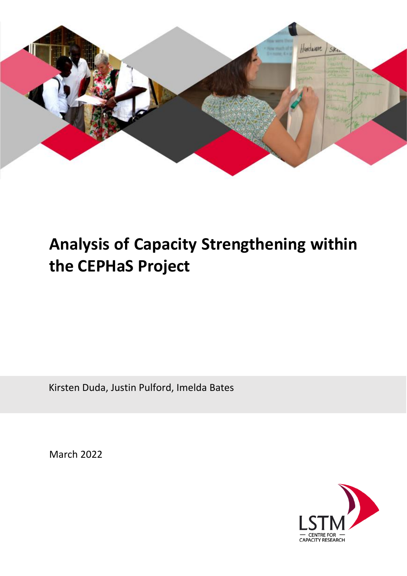

# **Analysis of Capacity Strengthening within the CEPHaS Project**

Kirsten Duda, Justin Pulford, Imelda Bates

March 2022

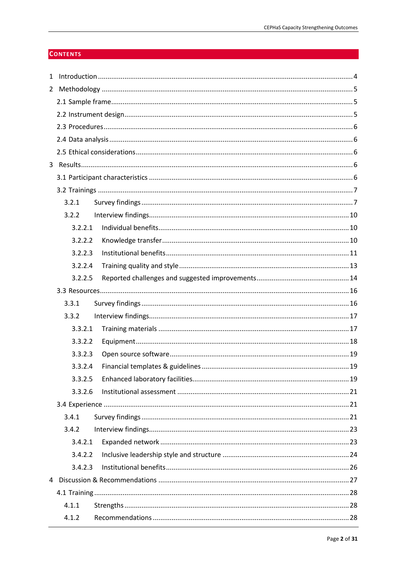# **CONTENTS**

| $\overline{2}$ |         |  |  |  |  |
|----------------|---------|--|--|--|--|
|                |         |  |  |  |  |
|                |         |  |  |  |  |
|                |         |  |  |  |  |
|                |         |  |  |  |  |
|                |         |  |  |  |  |
|                |         |  |  |  |  |
|                |         |  |  |  |  |
|                |         |  |  |  |  |
|                | 3.2.1   |  |  |  |  |
|                | 3.2.2   |  |  |  |  |
|                | 3.2.2.1 |  |  |  |  |
|                | 3.2.2.2 |  |  |  |  |
|                | 3.2.2.3 |  |  |  |  |
|                | 3.2.2.4 |  |  |  |  |
|                | 3.2.2.5 |  |  |  |  |
|                |         |  |  |  |  |
|                | 3.3.1   |  |  |  |  |
|                | 3.3.2   |  |  |  |  |
|                | 3.3.2.1 |  |  |  |  |
|                | 3.3.2.2 |  |  |  |  |
|                | 3.3.2.3 |  |  |  |  |
|                | 3.3.2.4 |  |  |  |  |
|                | 3.3.2.5 |  |  |  |  |
|                | 3.3.2.6 |  |  |  |  |
|                |         |  |  |  |  |
|                | 3.4.1   |  |  |  |  |
|                | 3.4.2   |  |  |  |  |
|                | 3.4.2.1 |  |  |  |  |
|                | 3.4.2.2 |  |  |  |  |
|                | 3.4.2.3 |  |  |  |  |
|                |         |  |  |  |  |
|                |         |  |  |  |  |
|                | 4.1.1   |  |  |  |  |
|                | 4.1.2   |  |  |  |  |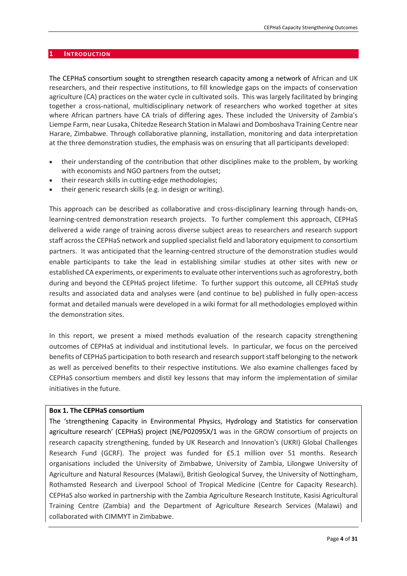#### <span id="page-3-0"></span>**1 INTRODUCTION**

The CEPHaS consortium sought to strengthen research capacity among a network of African and UK researchers, and their respective institutions, to fill knowledge gaps on the impacts of conservation agriculture (CA) practices on the water cycle in cultivated soils. This was largely facilitated by bringing together a cross-national, multidisciplinary network of researchers who worked together at sites where African partners have CA trials of differing ages. These included the University of Zambia's Liempe Farm, near Lusaka, Chitedze Research Station in Malawi and Domboshava Training Centre near Harare, Zimbabwe. Through collaborative planning, installation, monitoring and data interpretation at the three demonstration studies, the emphasis was on ensuring that all participants developed:

- their understanding of the contribution that other disciplines make to the problem, by working with economists and NGO partners from the outset;
- their research skills in cutting-edge methodologies;
- their generic research skills (e.g. in design or writing).

This approach can be described as collaborative and cross-disciplinary learning through hands-on, learning-centred demonstration research projects. To further complement this approach, CEPHaS delivered a wide range of training across diverse subject areas to researchers and research support staff across the CEPHaS network and supplied specialist field and laboratory equipment to consortium partners. It was anticipated that the learning-centred structure of the demonstration studies would enable participants to take the lead in establishing similar studies at other sites with new or established CA experiments, or experiments to evaluate other interventions such as agroforestry, both during and beyond the CEPHaS project lifetime. To further support this outcome, all CEPHaS study results and associated data and analyses were (and continue to be) published in fully open-access format and detailed manuals were developed in a wiki format for all methodologies employed within the demonstration sites.

In this report, we present a mixed methods evaluation of the research capacity strengthening outcomes of CEPHaS at individual and institutional levels. In particular, we focus on the perceived benefits of CEPHaS participation to both research and research support staff belonging to the network as well as perceived benefits to their respective institutions. We also examine challenges faced by CEPHaS consortium members and distil key lessons that may inform the implementation of similar initiatives in the future.

## **Box 1. The CEPHaS consortium**

The 'strengthening Capacity in Environmental Physics, Hydrology and Statistics for conservation agriculture research' (CEPHaS) project (NE/P02095X/1 was in the GROW consortium of projects on research capacity strengthening, funded by UK Research and Innovation's (UKRI) Global Challenges Research Fund (GCRF). The project was funded for £5.1 million over 51 months. Research organisations included the University of Zimbabwe, University of Zambia, Lilongwe University of Agriculture and Natural Resources (Malawi), British Geological Survey, the University of Nottingham, Rothamsted Research and Liverpool School of Tropical Medicine (Centre for Capacity Research). CEPHaS also worked in partnership with the Zambia Agriculture Research Institute, Kasisi Agricultural Training Centre (Zambia) and the Department of Agriculture Research Services (Malawi) and collaborated with CIMMYT in Zimbabwe.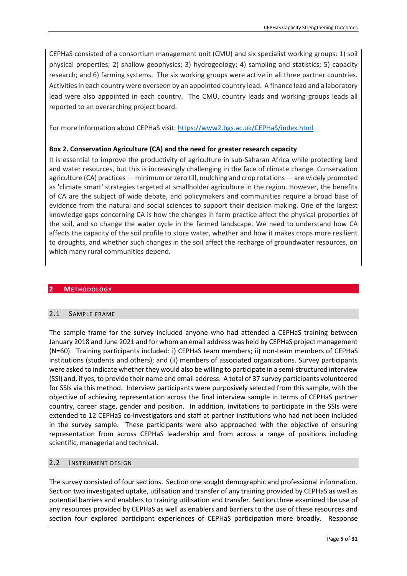CEPHaS consisted of a consortium management unit (CMU) and six specialist working groups: 1) soil physical properties; 2) shallow geophysics; 3) hydrogeology; 4) sampling and statistics; 5) capacity research; and 6) farming systems. The six working groups were active in all three partner countries. Activities in each country were overseen by an appointed country lead. A finance lead and a laboratory lead were also appointed in each country. The CMU, country leads and working groups leads all reported to an overarching project board.

For more information about CEPHaS visit:<https://www2.bgs.ac.uk/CEPHaS/index.html>

## **Box 2. Conservation Agriculture (CA) and the need for greater research capacity**

It is essential to improve the productivity of agriculture in sub-Saharan Africa while protecting land and water resources, but this is increasingly challenging in the face of climate change. Conservation agriculture (CA) practices — minimum or zero till, mulching and crop rotations — are widely promoted as 'climate smart' strategies targeted at smallholder agriculture in the region. However, the benefits of CA are the subject of wide debate, and policymakers and communities require a broad base of evidence from the natural and social sciences to support their decision making. One of the largest knowledge gaps concerning CA is how the changes in farm practice affect the physical properties of the soil, and so change the water cycle in the farmed landscape. We need to understand how CA affects the capacity of the soil profile to store water, whether and how it makes crops more resilient to droughts, and whether such changes in the soil affect the recharge of groundwater resources, on which many rural communities depend.

#### <span id="page-4-0"></span>**2 METHODOLOGY**

#### <span id="page-4-1"></span>2.1 SAMPLE FRAME

The sample frame for the survey included anyone who had attended a CEPHaS training between January 2018 and June 2021 and for whom an email address was held by CEPHaS project management (N=60). Training participants included: i) CEPHaS team members; ii) non-team members of CEPHaS institutions (students and others); and (ii) members of associated organizations. Survey participants were asked to indicate whether they would also be willing to participate in a semi-structured interview (SSI) and, if yes, to provide their name and email address. A total of 37 survey participants volunteered for SSIs via this method. Interview participants were purposively selected from this sample, with the objective of achieving representation across the final interview sample in terms of CEPHaS partner country, career stage, gender and position. In addition, invitations to participate in the SSIs were extended to 12 CEPHaS co-investigators and staff at partner institutions who had not been included in the survey sample. These participants were also approached with the objective of ensuring representation from across CEPHaS leadership and from across a range of positions including scientific, managerial and technical.

#### <span id="page-4-2"></span>2.2 INSTRUMENT DESIGN

The survey consisted of four sections. Section one sought demographic and professional information. Section two investigated uptake, utilisation and transfer of any training provided by CEPHaS as well as potential barriers and enablers to training utilisation and transfer. Section three examined the use of any resources provided by CEPHaS as well as enablers and barriers to the use of these resources and section four explored participant experiences of CEPHaS participation more broadly. Response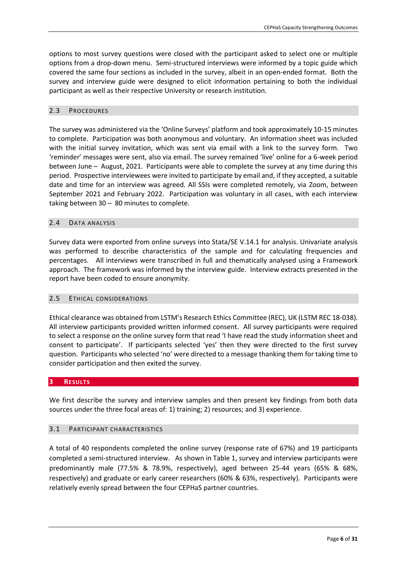options to most survey questions were closed with the participant asked to select one or multiple options from a drop-down menu. Semi-structured interviews were informed by a topic guide which covered the same four sections as included in the survey, albeit in an open-ended format. Both the survey and interview guide were designed to elicit information pertaining to both the individual participant as well as their respective University or research institution.

## <span id="page-5-0"></span>2.3 PROCEDURES

The survey was administered via the 'Online Surveys' platform and took approximately 10-15 minutes to complete. Participation was both anonymous and voluntary. An information sheet was included with the initial survey invitation, which was sent via email with a link to the survey form. Two 'reminder' messages were sent, also via email. The survey remained 'live' online for a 6-week period between June – August, 2021. Participants were able to complete the survey at any time during this period. Prospective interviewees were invited to participate by email and, if they accepted, a suitable date and time for an interview was agreed. All SSIs were completed remotely, via Zoom, between September 2021 and February 2022. Participation was voluntary in all cases, with each interview taking between 30 – 80 minutes to complete.

#### <span id="page-5-1"></span>2.4 DATA ANALYSIS

Survey data were exported from online surveys into Stata/SE V.14.1 for analysis. Univariate analysis was performed to describe characteristics of the sample and for calculating frequencies and percentages. All interviews were transcribed in full and thematically analysed using a Framework approach. The framework was informed by the interview guide. Interview extracts presented in the report have been coded to ensure anonymity.

#### <span id="page-5-2"></span>2.5 ETHICAL CONSIDERATIONS

Ethical clearance was obtained from LSTM's Research Ethics Committee (REC), UK (LSTM REC 18-038). All interview participants provided written informed consent. All survey participants were required to select a response on the online survey form that read 'I have read the study information sheet and consent to participate'. If participants selected 'yes' then they were directed to the first survey question. Participants who selected 'no' were directed to a message thanking them for taking time to consider participation and then exited the survey.

## <span id="page-5-3"></span>**3 RESULTS**

We first describe the survey and interview samples and then present key findings from both data sources under the three focal areas of: 1) training; 2) resources; and 3) experience.

#### <span id="page-5-4"></span>3.1 PARTICIPANT CHARACTERISTICS

A total of 40 respondents completed the online survey (response rate of 67%) and 19 participants completed a semi-structured interview. As shown in Table 1, survey and interview participants were predominantly male (77.5% & 78.9%, respectively), aged between 25-44 years (65% & 68%, respectively) and graduate or early career researchers (60% & 63%, respectively). Participants were relatively evenly spread between the four CEPHaS partner countries.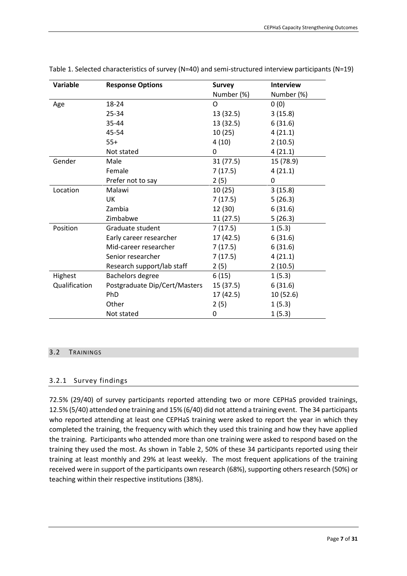| Variable      | <b>Response Options</b>       | <b>Survey</b> | <b>Interview</b> |
|---------------|-------------------------------|---------------|------------------|
|               |                               | Number (%)    | Number (%)       |
| Age           | 18-24                         | O             | 0(0)             |
|               | 25-34                         | 13 (32.5)     | 3(15.8)          |
|               | 35-44                         | 13(32.5)      | 6(31.6)          |
|               | 45-54                         | 10(25)        | 4(21.1)          |
|               | $55+$                         | 4(10)         | 2(10.5)          |
|               | Not stated                    | 0             | 4(21.1)          |
| Gender        | Male                          | 31(77.5)      | 15 (78.9)        |
|               | Female                        | 7(17.5)       | 4(21.1)          |
|               | Prefer not to say             | 2(5)          | 0                |
| Location      | Malawi                        | 10(25)        | 3(15.8)          |
|               | UK                            | 7(17.5)       | 5(26.3)          |
|               | Zambia                        | 12 (30)       | 6(31.6)          |
|               | Zimbabwe                      | 11(27.5)      | 5(26.3)          |
| Position      | Graduate student              | 7(17.5)       | 1(5.3)           |
|               | Early career researcher       | 17 (42.5)     | 6(31.6)          |
|               | Mid-career researcher         | 7(17.5)       | 6(31.6)          |
|               | Senior researcher             | 7(17.5)       | 4(21.1)          |
|               | Research support/lab staff    | 2(5)          | 2(10.5)          |
| Highest       | Bachelors degree              | 6(15)         | 1(5.3)           |
| Qualification | Postgraduate Dip/Cert/Masters | 15 (37.5)     | 6(31.6)          |
|               | PhD                           | 17(42.5)      | 10 (52.6)        |
|               | Other                         | 2(5)          | 1(5.3)           |
|               | Not stated                    | 0             | 1(5.3)           |

Table 1. Selected characteristics of survey (N=40) and semi-structured interview participants (N=19)

## <span id="page-6-0"></span>3.2 TRAININGS

## <span id="page-6-1"></span>3.2.1 Survey findings

72.5% (29/40) of survey participants reported attending two or more CEPHaS provided trainings, 12.5% (5/40) attended one training and 15% (6/40) did not attend a training event. The 34 participants who reported attending at least one CEPHaS training were asked to report the year in which they completed the training, the frequency with which they used this training and how they have applied the training. Participants who attended more than one training were asked to respond based on the training they used the most. As shown in Table 2, 50% of these 34 participants reported using their training at least monthly and 29% at least weekly. The most frequent applications of the training received were in support of the participants own research (68%), supporting others research (50%) or teaching within their respective institutions (38%).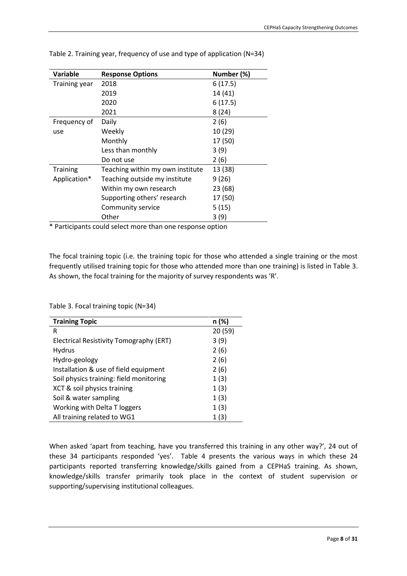| Variable        | <b>Response Options</b>          | Number (%) |
|-----------------|----------------------------------|------------|
| Training year   | 2018                             | 6(17.5)    |
|                 | 2019                             | 14 (41)    |
|                 | 2020                             | 6(17.5)    |
|                 | 2021                             | 8(24)      |
| Frequency of    | Daily                            | 2(6)       |
| use             | Weekly                           | 10 (29)    |
|                 | Monthly                          | 17 (50)    |
|                 | Less than monthly                | 3(9)       |
|                 | Do not use                       | 2(6)       |
| <b>Training</b> | Teaching within my own institute | 13 (38)    |
| Application*    | Teaching outside my institute    | 9(26)      |
|                 | Within my own research           | 23 (68)    |
|                 | Supporting others' research      | 17 (50)    |
|                 | Community service                | 5(15)      |
|                 | Other                            | 3(9)       |

Table 2. Training year, frequency of use and type of application (N=34)

\* Participants could select more than one response option

The focal training topic (i.e. the training topic for those who attended a single training or the most frequently utilised training topic for those who attended more than one training) is listed in Table 3. As shown, the focal training for the majority of survey respondents was 'R'.

| <b>Training Topic</b>                   | n (%)   |
|-----------------------------------------|---------|
| R                                       | 20 (59) |
| Electrical Resistivity Tomography (ERT) | 3(9)    |
| <b>Hydrus</b>                           | 2(6)    |
| Hydro-geology                           | 2(6)    |
| Installation & use of field equipment   | 2(6)    |
| Soil physics training: field monitoring | 1(3)    |
| XCT & soil physics training             | 1(3)    |
| Soil & water sampling                   | 1(3)    |
| Working with Delta T loggers            | 1(3)    |
| All training related to WG1             | 1(3)    |

Table 3. Focal training topic (N=34)

When asked 'apart from teaching, have you transferred this training in any other way?', 24 out of these 34 participants responded 'yes'. Table 4 presents the various ways in which these 24 participants reported transferring knowledge/skills gained from a CEPHaS training. As shown, knowledge/skills transfer primarily took place in the context of student supervision or supporting/supervising institutional colleagues.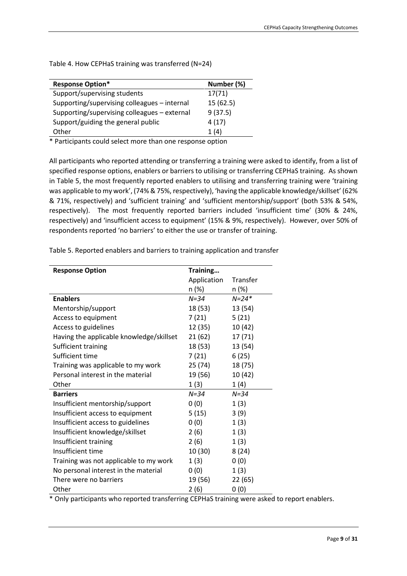Table 4. How CEPHaS training was transferred (N=24)

| <b>Response Option*</b>                      | Number (%) |
|----------------------------------------------|------------|
| Support/supervising students                 | 17(71)     |
| Supporting/supervising colleagues - internal | 15 (62.5)  |
| Supporting/supervising colleagues - external | 9(37.5)    |
| Support/guiding the general public           | 4(17)      |
| Other                                        | 1 (4)      |
|                                              |            |

\* Participants could select more than one response option

All participants who reported attending or transferring a training were asked to identify, from a list of specified response options, enablers or barriers to utilising or transferring CEPHaS training. As shown in Table 5, the most frequently reported enablers to utilising and transferring training were 'training was applicable to my work', (74% & 75%, respectively), 'having the applicable knowledge/skillset' (62% & 71%, respectively) and 'sufficient training' and 'sufficient mentorship/support' (both 53% & 54%, respectively). The most frequently reported barriers included 'insufficient time' (30% & 24%, respectively) and 'insufficient access to equipment' (15% & 9%, respectively). However, over 50% of respondents reported 'no barriers' to either the use or transfer of training.

| <b>Response Option</b>                   | Training    |           |
|------------------------------------------|-------------|-----------|
|                                          | Application | Transfer  |
|                                          | n (%)       | n (%)     |
| <b>Enablers</b>                          | $N = 34$    | $N = 24*$ |
| Mentorship/support                       | 18 (53)     | 13 (54)   |
| Access to equipment                      | 7(21)       | 5(21)     |
| Access to guidelines                     | 12 (35)     | 10 (42)   |
| Having the applicable knowledge/skillset | 21 (62)     | 17 (71)   |
| Sufficient training                      | 18 (53)     | 13 (54)   |
| Sufficient time                          | 7(21)       | 6(25)     |
| Training was applicable to my work       | 25 (74)     | 18 (75)   |
| Personal interest in the material        | 19 (56)     | 10 (42)   |
| Other                                    | 1(3)        | 1(4)      |
| <b>Barriers</b>                          | N=34        | $N = 34$  |
| Insufficient mentorship/support          | 0(0)        | 1(3)      |
| Insufficient access to equipment         | 5(15)       | 3(9)      |
| Insufficient access to guidelines        | 0(0)        | 1(3)      |
| Insufficient knowledge/skillset          | 2(6)        | 1(3)      |
| Insufficient training                    | 2(6)        | 1(3)      |
| Insufficient time                        | 10 (30)     | 8(24)     |
| Training was not applicable to my work   | 1(3)        | 0(0)      |
| No personal interest in the material     | 0(0)        | 1(3)      |
| There were no barriers                   | 19 (56)     | 22(65)    |
| Other                                    | 2(6)        | 0(0)      |

Table 5. Reported enablers and barriers to training application and transfer

\* Only participants who reported transferring CEPHaS training were asked to report enablers.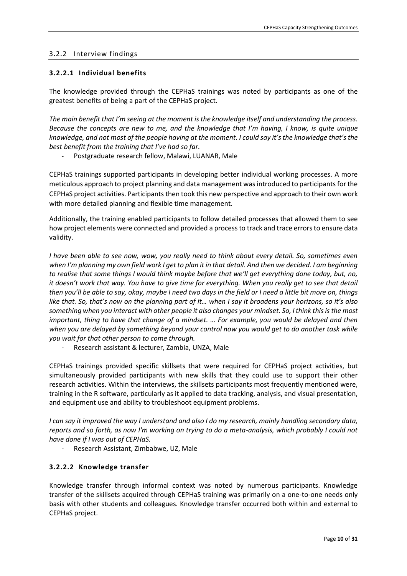## <span id="page-9-0"></span>3.2.2 Interview findings

## <span id="page-9-1"></span>**3.2.2.1 Individual benefits**

The knowledge provided through the CEPHaS trainings was noted by participants as one of the greatest benefits of being a part of the CEPHaS project.

*The main benefit that I'm seeing at the moment is the knowledge itself and understanding the process. Because the concepts are new to me, and the knowledge that I'm having, I know, is quite unique knowledge, and not most of the people having at the moment. I could say it's the knowledge that's the best benefit from the training that I've had so far.*

Postgraduate research fellow, Malawi, LUANAR, Male

CEPHaS trainings supported participants in developing better individual working processes. A more meticulous approach to project planning and data management was introduced to participants for the CEPHaS project activities. Participants then took this new perspective and approach to their own work with more detailed planning and flexible time management.

Additionally, the training enabled participants to follow detailed processes that allowed them to see how project elements were connected and provided a process to track and trace errors to ensure data validity.

*I have been able to see now, wow, you really need to think about every detail. So, sometimes even when I'm planning my own field work I get to plan it in that detail. And then we decided. I am beginning to realise that some things I would think maybe before that we'll get everything done today, but, no, it doesn't work that way. You have to give time for everything. When you really get to see that detail then you'll be able to say, okay, maybe I need two days in the field or I need a little bit more on, things like that. So, that's now on the planning part of it… when I say it broadens your horizons, so it's also something when you interact with other people it also changes your mindset. So, I think this is the most important, thing to have that change of a mindset. … For example, you would be delayed and then when you are delayed by something beyond your control now you would get to do another task while you wait for that other person to come through.* 

*-* Research assistant & lecturer, Zambia, UNZA, Male

CEPHaS trainings provided specific skillsets that were required for CEPHaS project activities, but simultaneously provided participants with new skills that they could use to support their other research activities. Within the interviews, the skillsets participants most frequently mentioned were, training in the R software, particularly as it applied to data tracking, analysis, and visual presentation, and equipment use and ability to troubleshoot equipment problems.

*I can say it improved the way I understand and also I do my research, mainly handling secondary data, reports and so forth, as now I'm working on trying to do a meta-analysis, which probably I could not have done if I was out of CEPHaS.*

*-* Research Assistant, Zimbabwe, UZ, Male

# <span id="page-9-2"></span>**3.2.2.2 Knowledge transfer**

Knowledge transfer through informal context was noted by numerous participants. Knowledge transfer of the skillsets acquired through CEPHaS training was primarily on a one-to-one needs only basis with other students and colleagues. Knowledge transfer occurred both within and external to CEPHaS project.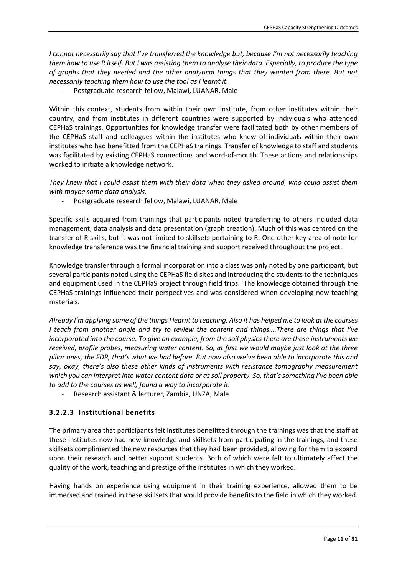*I cannot necessarily say that I've transferred the knowledge but, because I'm not necessarily teaching them how to use R itself. But I was assisting them to analyse their data. Especially, to produce the type of graphs that they needed and the other analytical things that they wanted from there. But not necessarily teaching them how to use the tool as I learnt it.*

Postgraduate research fellow, Malawi, LUANAR, Male

Within this context, students from within their own institute, from other institutes within their country, and from institutes in different countries were supported by individuals who attended CEPHaS trainings. Opportunities for knowledge transfer were facilitated both by other members of the CEPHaS staff and colleagues within the institutes who knew of individuals within their own institutes who had benefitted from the CEPHaS trainings. Transfer of knowledge to staff and students was facilitated by existing CEPHaS connections and word-of-mouth. These actions and relationships worked to initiate a knowledge network.

*They knew that I could assist them with their data when they asked around, who could assist them with maybe some data analysis.*

*-* Postgraduate research fellow, Malawi, LUANAR, Male

Specific skills acquired from trainings that participants noted transferring to others included data management, data analysis and data presentation (graph creation). Much of this was centred on the transfer of R skills, but it was not limited to skillsets pertaining to R. One other key area of note for knowledge transference was the financial training and support received throughout the project.

Knowledge transfer through a formal incorporation into a class was only noted by one participant, but several participants noted using the CEPHaS field sites and introducing the students to the techniques and equipment used in the CEPHaS project through field trips. The knowledge obtained through the CEPHaS trainings influenced their perspectives and was considered when developing new teaching materials.

*Already I'm applying some of the things I learnt to teaching. Also it has helped me to look at the courses I teach from another angle and try to review the content and things….There are things that I've incorporated into the course. To give an example, from the soil physics there are these instruments we received, profile probes, measuring water content. So, at first we would maybe just look at the three pillar ones, the FDR, that's what we had before. But now also we've been able to incorporate this and say, okay, there's also these other kinds of instruments with resistance tomography measurement which you can interpret into water content data or as soil property. So, that's something I've been able to add to the courses as well, found a way to incorporate it.*

*-* Research assistant & lecturer, Zambia, UNZA, Male

# <span id="page-10-0"></span>**3.2.2.3 Institutional benefits**

The primary area that participants felt institutes benefitted through the trainings was that the staff at these institutes now had new knowledge and skillsets from participating in the trainings, and these skillsets complimented the new resources that they had been provided, allowing for them to expand upon their research and better support students. Both of which were felt to ultimately affect the quality of the work, teaching and prestige of the institutes in which they worked.

Having hands on experience using equipment in their training experience, allowed them to be immersed and trained in these skillsets that would provide benefits to the field in which they worked.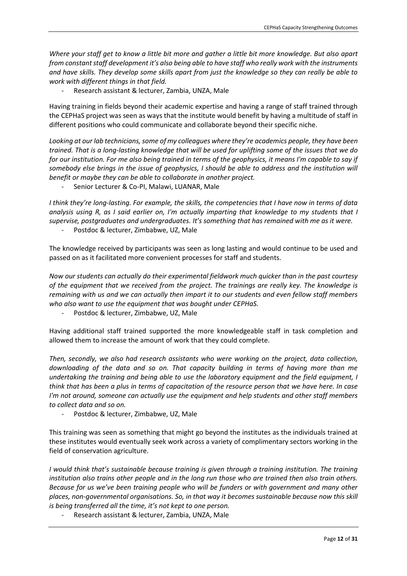*Where your staff get to know a little bit more and gather a little bit more knowledge. But also apart from constant staff development it's also being able to have staff who really work with the instruments and have skills. They develop some skills apart from just the knowledge so they can really be able to work with different things in that field.*

*-* Research assistant & lecturer, Zambia, UNZA, Male

Having training in fields beyond their academic expertise and having a range of staff trained through the CEPHaS project was seen as ways that the institute would benefit by having a multitude of staff in different positions who could communicate and collaborate beyond their specific niche.

*Looking at our lab technicians, some of my colleagues where they're academics people, they have been trained. That is a long-lasting knowledge that will be used for uplifting some of the issues that we do for our institution. For me also being trained in terms of the geophysics, it means I'm capable to say if somebody else brings in the issue of geophysics, I should be able to address and the institution will benefit or maybe they can be able to collaborate in another project.*

*-* Senior Lecturer & Co-PI, Malawi, LUANAR, Male

*I think they're long-lasting. For example, the skills, the competencies that I have now in terms of data analysis using R, as I said earlier on, I'm actually imparting that knowledge to my students that I supervise, postgraduates and undergraduates. It's something that has remained with me as it were.*

*-* Postdoc & lecturer, Zimbabwe, UZ, Male

The knowledge received by participants was seen as long lasting and would continue to be used and passed on as it facilitated more convenient processes for staff and students.

*Now our students can actually do their experimental fieldwork much quicker than in the past courtesy of the equipment that we received from the project. The trainings are really key. The knowledge is remaining with us and we can actually then impart it to our students and even fellow staff members who also want to use the equipment that was bought under CEPHaS.*

*-* Postdoc & lecturer, Zimbabwe, UZ, Male

Having additional staff trained supported the more knowledgeable staff in task completion and allowed them to increase the amount of work that they could complete.

*Then, secondly, we also had research assistants who were working on the project, data collection, downloading of the data and so on. That capacity building in terms of having more than me undertaking the training and being able to use the laboratory equipment and the field equipment, I think that has been a plus in terms of capacitation of the resource person that we have here. In case I'm not around, someone can actually use the equipment and help students and other staff members to collect data and so on.*

*-* Postdoc & lecturer, Zimbabwe, UZ, Male

This training was seen as something that might go beyond the institutes as the individuals trained at these institutes would eventually seek work across a variety of complimentary sectors working in the field of conservation agriculture.

*I would think that's sustainable because training is given through a training institution. The training institution also trains other people and in the long run those who are trained then also train others. Because for us we've been training people who will be funders or with government and many other places, non-governmental organisations. So, in that way it becomes sustainable because now this skill is being transferred all the time, it's not kept to one person.*

*-* Research assistant & lecturer, Zambia, UNZA, Male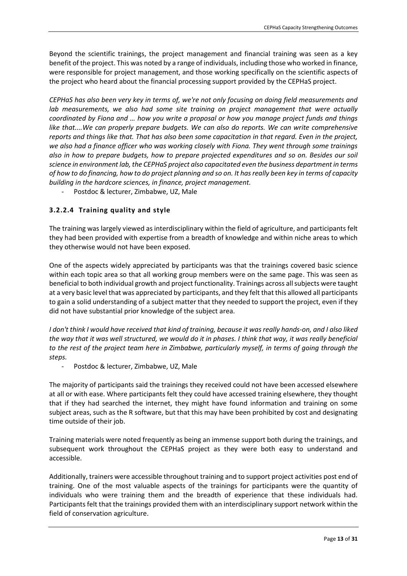Beyond the scientific trainings, the project management and financial training was seen as a key benefit of the project. This was noted by a range of individuals, including those who worked in finance, were responsible for project management, and those working specifically on the scientific aspects of the project who heard about the financial processing support provided by the CEPHaS project.

*CEPHaS has also been very key in terms of, we're not only focusing on doing field measurements and lab measurements, we also had some site training on project management that were actually coordinated by Fiona and … how you write a proposal or how you manage project funds and things*  like that....We can properly prepare budgets. We can also do reports. We can write comprehensive *reports and things like that. That has also been some capacitation in that regard. Even in the project, we also had a finance officer who was working closely with Fiona. They went through some trainings also in how to prepare budgets, how to prepare projected expenditures and so on. Besides our soil science in environment lab, the CEPHaS project also capacitated even the business department in terms of how to do financing, how to do project planning and so on. It has really been key in terms of capacity building in the hardcore sciences, in finance, project management.*

*-* Postdoc & lecturer, Zimbabwe, UZ, Male

# <span id="page-12-0"></span>**3.2.2.4 Training quality and style**

The training was largely viewed as interdisciplinary within the field of agriculture, and participants felt they had been provided with expertise from a breadth of knowledge and within niche areas to which they otherwise would not have been exposed.

One of the aspects widely appreciated by participants was that the trainings covered basic science within each topic area so that all working group members were on the same page. This was seen as beneficial to both individual growth and project functionality. Trainings across all subjects were taught at a very basic level that was appreciated by participants, and they felt that this allowed all participants to gain a solid understanding of a subject matter that they needed to support the project, even if they did not have substantial prior knowledge of the subject area.

*I don't think I would have received that kind of training, because it was really hands-on, and I also liked the way that it was well structured, we would do it in phases. I think that way, it was really beneficial to the rest of the project team here in Zimbabwe, particularly myself, in terms of going through the steps.*

*-* Postdoc & lecturer, Zimbabwe, UZ, Male

The majority of participants said the trainings they received could not have been accessed elsewhere at all or with ease. Where participants felt they could have accessed training elsewhere, they thought that if they had searched the internet, they might have found information and training on some subject areas, such as the R software, but that this may have been prohibited by cost and designating time outside of their job.

Training materials were noted frequently as being an immense support both during the trainings, and subsequent work throughout the CEPHaS project as they were both easy to understand and accessible.

Additionally, trainers were accessible throughout training and to support project activities post end of training. One of the most valuable aspects of the trainings for participants were the quantity of individuals who were training them and the breadth of experience that these individuals had. Participants felt that the trainings provided them with an interdisciplinary support network within the field of conservation agriculture.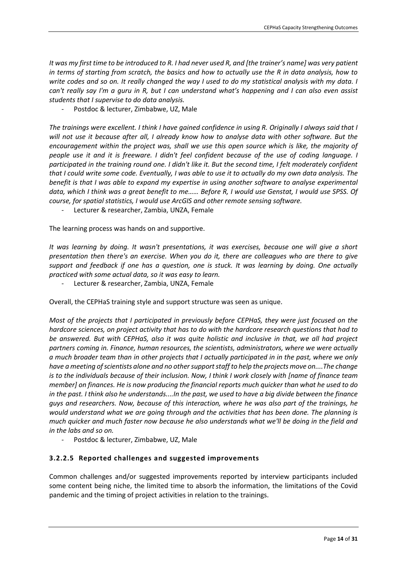*It was my first time to be introduced to R. I had never used R, and [the trainer's name] was very patient in terms of starting from scratch, the basics and how to actually use the R in data analysis, how to write codes and so on. It really changed the way I used to do my statistical analysis with my data. I can't really say I'm a guru in R, but I can understand what's happening and I can also even assist students that I supervise to do data analysis.*

*-* Postdoc & lecturer, Zimbabwe, UZ, Male

*The trainings were excellent. I think I have gained confidence in using R. Originally I always said that I will not use it because after all, I already know how to analyse data with other software. But the encouragement within the project was, shall we use this open source which is like, the majority of people use it and it is freeware. I didn't feel confident because of the use of coding language. I participated in the training round one. I didn't like it. But the second time, I felt moderately confident that I could write some code. Eventually, I was able to use it to actually do my own data analysis. The benefit is that I was able to expand my expertise in using another software to analyse experimental data, which I think was a great benefit to me…… Before R, I would use Genstat, I would use SPSS. Of course, for spatial statistics, I would use ArcGIS and other remote sensing software.*

*-* Lecturer & researcher, Zambia, UNZA, Female

The learning process was hands on and supportive.

*It was learning by doing. It wasn't presentations, it was exercises, because one will give a short presentation then there's an exercise. When you do it, there are colleagues who are there to give support and feedback if one has a question, one is stuck. It was learning by doing. One actually practiced with some actual data, so it was easy to learn.*

*-* Lecturer & researcher, Zambia, UNZA, Female

Overall, the CEPHaS training style and support structure was seen as unique.

*Most of the projects that I participated in previously before CEPHaS, they were just focused on the hardcore sciences, on project activity that has to do with the hardcore research questions that had to be answered. But with CEPHaS, also it was quite holistic and inclusive in that, we all had project partners coming in. Finance, human resources, the scientists, administrators, where we were actually a much broader team than in other projects that I actually participated in in the past, where we only have a meeting of scientists alone and no other support staff to help the projects move on....The change is to the individuals because of their inclusion. Now, I think I work closely with [name of finance team member] on finances. He is now producing the financial reports much quicker than what he used to do in the past. I think also he understands....In the past, we used to have a big divide between the finance guys and researchers. Now, because of this interaction, where he was also part of the trainings, he would understand what we are going through and the activities that has been done. The planning is much quicker and much faster now because he also understands what we'll be doing in the field and in the labs and so on.*

*-* Postdoc & lecturer, Zimbabwe, UZ, Male

## <span id="page-13-0"></span>**3.2.2.5 Reported challenges and suggested improvements**

Common challenges and/or suggested improvements reported by interview participants included some content being niche, the limited time to absorb the information, the limitations of the Covid pandemic and the timing of project activities in relation to the trainings.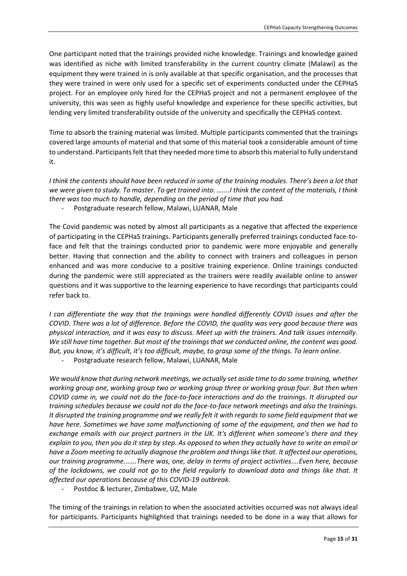One participant noted that the trainings provided niche knowledge. Trainings and knowledge gained was identified as niche with limited transferability in the current country climate (Malawi) as the equipment they were trained in is only available at that specific organisation, and the processes that they were trained in were only used for a specific set of experiments conducted under the CEPHaS project. For an employee only hired for the CEPHaS project and not a permanent employee of the university, this was seen as highly useful knowledge and experience for these specific activities, but lending very limited transferability outside of the university and specifically the CEPHaS context.

Time to absorb the training material was limited. Multiple participants commented that the trainings covered large amounts of material and that some of this material took a considerable amount of time to understand. Participants felt that they needed more time to absorb this material to fully understand it.

*I think the contents should have been reduced in some of the training modules. There's been a lot that we were given to study. To master. To get trained into. …....I think the content of the materials, I think there was too much to handle, depending on the period of time that you had.*

*-* Postgraduate research fellow, Malawi, LUANAR, Male

The Covid pandemic was noted by almost all participants as a negative that affected the experience of participating in the CEPHaS trainings. Participants generally preferred trainings conducted face-toface and felt that the trainings conducted prior to pandemic were more enjoyable and generally better. Having that connection and the ability to connect with trainers and colleagues in person enhanced and was more conducive to a positive training experience. Online trainings conducted during the pandemic were still appreciated as the trainers were readily available online to answer questions and it was supportive to the learning experience to have recordings that participants could refer back to.

*I can differentiate the way that the trainings were handled differently COVID issues and after the COVID. There was a lot of difference. Before the COVID, the quality was very good because there was physical interaction, and it was easy to discuss. Meet up with the trainers. And talk issues internally. We still have time together. But most of the trainings that we conducted online, the content was good. But, you know, it's difficult, it's too difficult, maybe, to grasp some of the things. To learn online.*

*-* Postgraduate research fellow, Malawi, LUANAR, Male

*We would know that during network meetings, we actually set aside time to do some training, whether working group one, working group two or working group three or working group four. But then when COVID came in, we could not do the face-to-face interactions and do the trainings. It disrupted our training schedules because we could not do the face-to-face network meetings and also the trainings. It disrupted the training programme and we really felt it with regards to some field equipment that we have here. Sometimes we have some malfunctioning of some of the equipment, and then we had to exchange emails with our project partners in the UK. It's different when someone's there and they explain to you, then you do it step by step. As opposed to when they actually have to write an email or have a Zoom meeting to actually diagnose the problem and things like that. It affected our operations, our training programme.......There was, one, delay in terms of project activities....Even here, because of the lockdowns, we could not go to the field regularly to download data and things like that. It affected our operations because of this COVID-19 outbreak.* 

*-* Postdoc & lecturer, Zimbabwe, UZ, Male

The timing of the trainings in relation to when the associated activities occurred was not always ideal for participants. Participants highlighted that trainings needed to be done in a way that allows for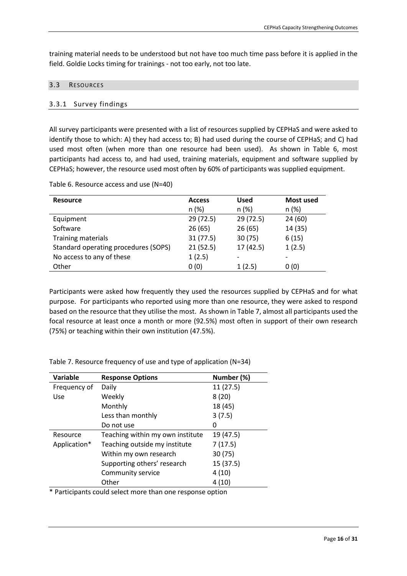training material needs to be understood but not have too much time pass before it is applied in the field. Goldie Locks timing for trainings - not too early, not too late.

#### <span id="page-15-0"></span>3.3 RESOURCES

## <span id="page-15-1"></span>3.3.1 Survey findings

All survey participants were presented with a list of resources supplied by CEPHaS and were asked to identify those to which: A) they had access to; B) had used during the course of CEPHaS; and C) had used most often (when more than one resource had been used). As shown in Table 6, most participants had access to, and had used, training materials, equipment and software supplied by CEPHaS; however, the resource used most often by 60% of participants was supplied equipment.

Table 6. Resource access and use (N=40)

| <b>Resource</b>                      | <b>Access</b> | <b>Used</b> | Most used |
|--------------------------------------|---------------|-------------|-----------|
|                                      | n(%)          | n(%)        | n(%)      |
| Equipment                            | 29(72.5)      | 29 (72.5)   | 24(60)    |
| Software                             | 26(65)        | 26(65)      | 14 (35)   |
| <b>Training materials</b>            | 31(77.5)      | 30(75)      | 6(15)     |
| Standard operating procedures (SOPS) | 21(52.5)      | 17 (42.5)   | 1(2.5)    |
| No access to any of these            | 1(2.5)        |             |           |
| Other                                | 0(0)          | 1(2.5)      | 0(0)      |

Participants were asked how frequently they used the resources supplied by CEPHaS and for what purpose. For participants who reported using more than one resource, they were asked to respond based on the resource that they utilise the most. As shown in Table 7, almost all participants used the focal resource at least once a month or more (92.5%) most often in support of their own research (75%) or teaching within their own institution (47.5%).

Table 7. Resource frequency of use and type of application (N=34)

| Variable     | <b>Response Options</b>          | Number (%) |
|--------------|----------------------------------|------------|
| Frequency of | Daily                            | 11(27.5)   |
| Use          | Weekly                           | 8(20)      |
|              | Monthly                          | 18 (45)    |
|              | Less than monthly                | 3(7.5)     |
|              | Do not use                       | 0          |
| Resource     | Teaching within my own institute | 19 (47.5)  |
| Application* | Teaching outside my institute    | 7(17.5)    |
|              | Within my own research           | 30(75)     |
|              | Supporting others' research      | 15 (37.5)  |
|              | Community service                | 4(10)      |
|              | Other                            | 4(10)      |

\* Participants could select more than one response option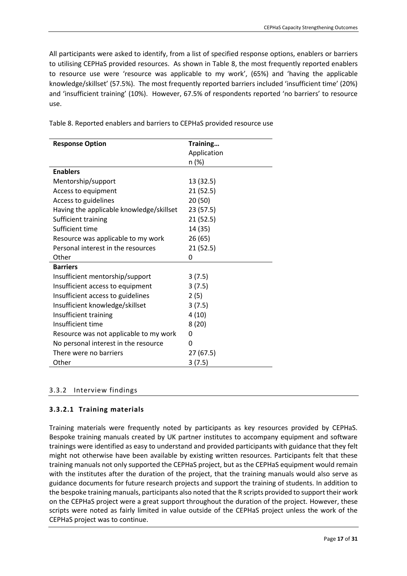All participants were asked to identify, from a list of specified response options, enablers or barriers to utilising CEPHaS provided resources. As shown in Table 8, the most frequently reported enablers to resource use were 'resource was applicable to my work', (65%) and 'having the applicable knowledge/skillset' (57.5%). The most frequently reported barriers included 'insufficient time' (20%) and 'insufficient training' (10%). However, 67.5% of respondents reported 'no barriers' to resource use.

|  |  |  |  |  |  | Table 8. Reported enablers and barriers to CEPHaS provided resource use |
|--|--|--|--|--|--|-------------------------------------------------------------------------|
|--|--|--|--|--|--|-------------------------------------------------------------------------|

| <b>Response Option</b>                   | Training    |
|------------------------------------------|-------------|
|                                          | Application |
|                                          | n (%)       |
| <b>Enablers</b>                          |             |
| Mentorship/support                       | 13 (32.5)   |
| Access to equipment                      | 21 (52.5)   |
| Access to guidelines                     | 20 (50)     |
| Having the applicable knowledge/skillset | 23 (57.5)   |
| Sufficient training                      | 21(52.5)    |
| Sufficient time                          | 14 (35)     |
| Resource was applicable to my work       | 26 (65)     |
| Personal interest in the resources       | 21 (52.5)   |
| Other                                    | 0           |
| <b>Barriers</b>                          |             |
| Insufficient mentorship/support          | 3(7.5)      |
| Insufficient access to equipment         | 3(7.5)      |
| Insufficient access to guidelines        | 2(5)        |
| Insufficient knowledge/skillset          | 3(7.5)      |
| Insufficient training                    | 4(10)       |
| Insufficient time                        | 8(20)       |
| Resource was not applicable to my work   | 0           |
| No personal interest in the resource     | 0           |
| There were no barriers                   | 27 (67.5)   |
| Other                                    | 3(7.5)      |

# <span id="page-16-0"></span>3.3.2 Interview findings

# <span id="page-16-1"></span>**3.3.2.1 Training materials**

Training materials were frequently noted by participants as key resources provided by CEPHaS. Bespoke training manuals created by UK partner institutes to accompany equipment and software trainings were identified as easy to understand and provided participants with guidance that they felt might not otherwise have been available by existing written resources. Participants felt that these training manuals not only supported the CEPHaS project, but as the CEPHaS equipment would remain with the institutes after the duration of the project, that the training manuals would also serve as guidance documents for future research projects and support the training of students. In addition to the bespoke training manuals, participants also noted that the R scripts provided to support their work on the CEPHaS project were a great support throughout the duration of the project. However, these scripts were noted as fairly limited in value outside of the CEPHaS project unless the work of the CEPHaS project was to continue.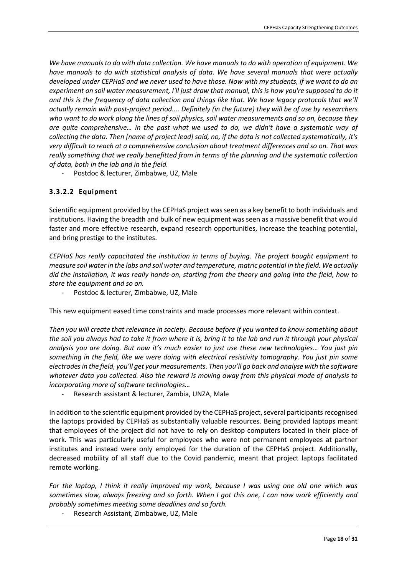*We have manuals to do with data collection. We have manuals to do with operation of equipment. We have manuals to do with statistical analysis of data. We have several manuals that were actually developed under CEPHaS and we never used to have those. Now with my students, if we want to do an experiment on soil water measurement, I'll just draw that manual, this is how you're supposed to do it*  and this is the frequency of data collection and things like that. We have legacy protocols that we'll *actually remain with post-project period.... Definitely (in the future) they will be of use by researchers who want to do work along the lines of soil physics, soil water measurements and so on, because they are quite comprehensive… in the past what we used to do, we didn't have a systematic way of collecting the data. Then [name of project lead] said, no, if the data is not collected systematically, it's very difficult to reach at a comprehensive conclusion about treatment differences and so on. That was really something that we really benefitted from in terms of the planning and the systematic collection of data, both in the lab and in the field.*

*-* Postdoc & lecturer, Zimbabwe, UZ, Male

## <span id="page-17-0"></span>**3.3.2.2 Equipment**

Scientific equipment provided by the CEPHaS project was seen as a key benefit to both individuals and institutions. Having the breadth and bulk of new equipment was seen as a massive benefit that would faster and more effective research, expand research opportunities, increase the teaching potential, and bring prestige to the institutes.

*CEPHaS has really capacitated the institution in terms of buying. The project bought equipment to measure soil water in the labs and soil water and temperature, matric potential in the field. We actually did the installation, it was really hands-on, starting from the theory and going into the field, how to store the equipment and so on.*

*-* Postdoc & lecturer, Zimbabwe, UZ, Male

This new equipment eased time constraints and made processes more relevant within context.

*Then you will create that relevance in society. Because before if you wanted to know something about the soil you always had to take it from where it is, bring it to the lab and run it through your physical analysis you are doing. But now it's much easier to just use these new technologies… You just pin something in the field, like we were doing with electrical resistivity tomography. You just pin some electrodes in the field, you'll get your measurements. Then you'll go back and analyse with the software whatever data you collected. Also the reward is moving away from this physical mode of analysis to incorporating more of software technologies…*

*-* Research assistant & lecturer, Zambia, UNZA, Male

In addition to the scientific equipment provided by the CEPHaS project, several participants recognised the laptops provided by CEPHaS as substantially valuable resources. Being provided laptops meant that employees of the project did not have to rely on desktop computers located in their place of work. This was particularly useful for employees who were not permanent employees at partner institutes and instead were only employed for the duration of the CEPHaS project. Additionally, decreased mobility of all staff due to the Covid pandemic, meant that project laptops facilitated remote working.

*For the laptop, I think it really improved my work, because I was using one old one which was sometimes slow, always freezing and so forth. When I got this one, I can now work efficiently and probably sometimes meeting some deadlines and so forth.*

*-* Research Assistant, Zimbabwe, UZ, Male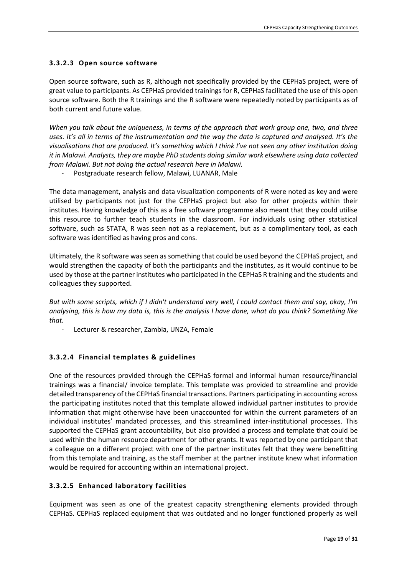# <span id="page-18-0"></span>**3.3.2.3 Open source software**

Open source software, such as R, although not specifically provided by the CEPHaS project, were of great value to participants. As CEPHaS provided trainings for R, CEPHaS facilitated the use of this open source software. Both the R trainings and the R software were repeatedly noted by participants as of both current and future value.

*When you talk about the uniqueness, in terms of the approach that work group one, two, and three uses. It's all in terms of the instrumentation and the way the data is captured and analysed. It's the visualisations that are produced. It's something which I think I've not seen any other institution doing it in Malawi. Analysts, they are maybe PhD students doing similar work elsewhere using data collected from Malawi. But not doing the actual research here in Malawi.*

*-* Postgraduate research fellow, Malawi, LUANAR, Male

The data management, analysis and data visualization components of R were noted as key and were utilised by participants not just for the CEPHaS project but also for other projects within their institutes. Having knowledge of this as a free software programme also meant that they could utilise this resource to further teach students in the classroom. For individuals using other statistical software, such as STATA, R was seen not as a replacement, but as a complimentary tool, as each software was identified as having pros and cons.

Ultimately, the R software was seen as something that could be used beyond the CEPHaS project, and would strengthen the capacity of both the participants and the institutes, as it would continue to be used by those at the partner institutes who participated in the CEPHaS R training and the students and colleagues they supported.

*But with some scripts, which if I didn't understand very well, I could contact them and say, okay, I'm analysing, this is how my data is, this is the analysis I have done, what do you think? Something like that.*

*-* Lecturer & researcher, Zambia, UNZA, Female

# <span id="page-18-1"></span>**3.3.2.4 Financial templates & guidelines**

One of the resources provided through the CEPHaS formal and informal human resource/financial trainings was a financial/ invoice template. This template was provided to streamline and provide detailed transparency of the CEPHaS financial transactions. Partners participating in accounting across the participating institutes noted that this template allowed individual partner institutes to provide information that might otherwise have been unaccounted for within the current parameters of an individual institutes' mandated processes, and this streamlined inter-institutional processes. This supported the CEPHaS grant accountability, but also provided a process and template that could be used within the human resource department for other grants. It was reported by one participant that a colleague on a different project with one of the partner institutes felt that they were benefitting from this template and training, as the staff member at the partner institute knew what information would be required for accounting within an international project.

## <span id="page-18-2"></span>**3.3.2.5 Enhanced laboratory facilities**

Equipment was seen as one of the greatest capacity strengthening elements provided through CEPHaS. CEPHaS replaced equipment that was outdated and no longer functioned properly as well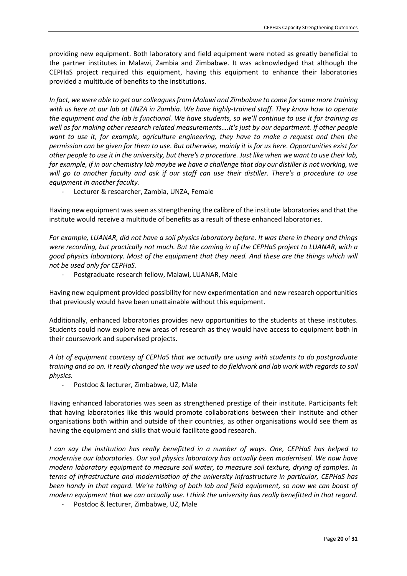providing new equipment. Both laboratory and field equipment were noted as greatly beneficial to the partner institutes in Malawi, Zambia and Zimbabwe. It was acknowledged that although the CEPHaS project required this equipment, having this equipment to enhance their laboratories provided a multitude of benefits to the institutions.

*In fact, we were able to get our colleagues from Malawi and Zimbabwe to come for some more training with us here at our lab at UNZA in Zambia. We have highly-trained staff. They know how to operate the equipment and the lab is functional. We have students, so we'll continue to use it for training as well as for making other research related measurements….It's just by our department. If other people want to use it, for example, agriculture engineering, they have to make a request and then the permission can be given for them to use. But otherwise, mainly it is for us here. Opportunities exist for other people to use it in the university, but there's a procedure. Just like when we want to use their lab, for example, if in our chemistry lab maybe we have a challenge that day our distiller is not working, we will go to another faculty and ask if our staff can use their distiller. There's a procedure to use equipment in another faculty.*

*-* Lecturer & researcher, Zambia, UNZA, Female

Having new equipment was seen as strengthening the calibre of the institute laboratories and that the institute would receive a multitude of benefits as a result of these enhanced laboratories.

*For example, LUANAR, did not have a soil physics laboratory before. It was there in theory and things were recording, but practically not much. But the coming in of the CEPHaS project to LUANAR, with a good physics laboratory. Most of the equipment that they need. And these are the things which will not be used only for CEPHaS.*

*-* Postgraduate research fellow, Malawi, LUANAR, Male

Having new equipment provided possibility for new experimentation and new research opportunities that previously would have been unattainable without this equipment.

Additionally, enhanced laboratories provides new opportunities to the students at these institutes. Students could now explore new areas of research as they would have access to equipment both in their coursework and supervised projects.

*A lot of equipment courtesy of CEPHaS that we actually are using with students to do postgraduate training and so on. It really changed the way we used to do fieldwork and lab work with regards to soil physics.*

*-* Postdoc & lecturer, Zimbabwe, UZ, Male

Having enhanced laboratories was seen as strengthened prestige of their institute. Participants felt that having laboratories like this would promote collaborations between their institute and other organisations both within and outside of their countries, as other organisations would see them as having the equipment and skills that would facilitate good research.

*I can say the institution has really benefitted in a number of ways. One, CEPHaS has helped to modernise our laboratories. Our soil physics laboratory has actually been modernised. We now have modern laboratory equipment to measure soil water, to measure soil texture, drying of samples. In terms of infrastructure and modernisation of the university infrastructure in particular, CEPHaS has been handy in that regard. We're talking of both lab and field equipment, so now we can boast of modern equipment that we can actually use. I think the university has really benefitted in that regard.*

*-* Postdoc & lecturer, Zimbabwe, UZ, Male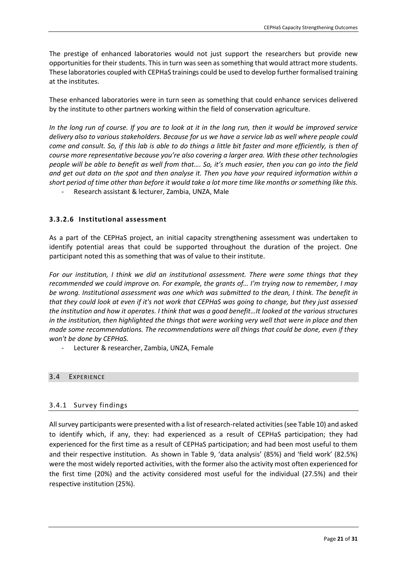The prestige of enhanced laboratories would not just support the researchers but provide new opportunities for their students. This in turn was seen as something that would attract more students. These laboratories coupled with CEPHaS trainings could be used to develop further formalised training at the institutes.

These enhanced laboratories were in turn seen as something that could enhance services delivered by the institute to other partners working within the field of conservation agriculture.

*In the long run of course. If you are to look at it in the long run, then it would be improved service delivery also to various stakeholders. Because for us we have a service lab as well where people could come and consult. So, if this lab is able to do things a little bit faster and more efficiently, is then of course more representative because you're also covering a larger area. With these other technologies people will be able to benefit as well from that…. So, it's much easier, then you can go into the field and get out data on the spot and then analyse it. Then you have your required information within a short period of time other than before it would take a lot more time like months or something like this. -* Research assistant & lecturer, Zambia, UNZA, Male

## <span id="page-20-0"></span>**3.3.2.6 Institutional assessment**

As a part of the CEPHaS project, an initial capacity strengthening assessment was undertaken to identify potential areas that could be supported throughout the duration of the project. One participant noted this as something that was of value to their institute.

*For our institution, I think we did an institutional assessment. There were some things that they recommended we could improve on. For example, the grants of… I'm trying now to remember, I may be wrong. Institutional assessment was one which was submitted to the dean, I think. The benefit in that they could look at even if it's not work that CEPHaS was going to change, but they just assessed the institution and how it operates. I think that was a good benefit…It looked at the various structures in the institution, then highlighted the things that were working very well that were in place and then made some recommendations. The recommendations were all things that could be done, even if they won't be done by CEPHaS.*

*-* Lecturer & researcher, Zambia, UNZA, Female

## <span id="page-20-1"></span>3.4 EXPERIENCE

## <span id="page-20-2"></span>3.4.1 Survey findings

All survey participants were presented with a list of research-related activities (see Table 10) and asked to identify which, if any, they: had experienced as a result of CEPHaS participation; they had experienced for the first time as a result of CEPHaS participation; and had been most useful to them and their respective institution. As shown in Table 9, 'data analysis' (85%) and 'field work' (82.5%) were the most widely reported activities, with the former also the activity most often experienced for the first time (20%) and the activity considered most useful for the individual (27.5%) and their respective institution (25%).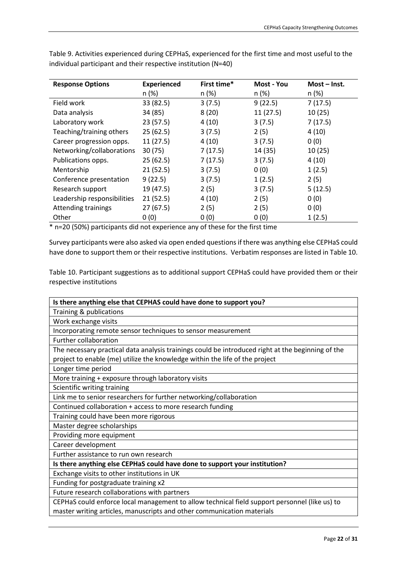| <b>Response Options</b>     | <b>Experienced</b> | First time* | Most - You | Most-Inst. |
|-----------------------------|--------------------|-------------|------------|------------|
|                             | n (%)              | n (%)       | n (%)      | n (%)      |
| Field work                  | 33 (82.5)          | 3(7.5)      | 9(22.5)    | 7(17.5)    |
| Data analysis               | 34 (85)            | 8(20)       | 11(27.5)   | 10(25)     |
| Laboratory work             | 23(57.5)           | 4(10)       | 3(7.5)     | 7(17.5)    |
| Teaching/training others    | 25(62.5)           | 3(7.5)      | 2(5)       | 4(10)      |
| Career progression opps.    | 11(27.5)           | 4(10)       | 3(7.5)     | 0(0)       |
| Networking/collaborations   | 30(75)             | 7(17.5)     | 14 (35)    | 10(25)     |
| Publications opps.          | 25(62.5)           | 7(17.5)     | 3(7.5)     | 4(10)      |
| Mentorship                  | 21(52.5)           | 3(7.5)      | 0(0)       | 1(2.5)     |
| Conference presentation     | 9(22.5)            | 3(7.5)      | 1(2.5)     | 2(5)       |
| Research support            | 19 (47.5)          | 2(5)        | 3(7.5)     | 5(12.5)    |
| Leadership responsibilities | 21(52.5)           | 4(10)       | 2(5)       | 0(0)       |
| <b>Attending trainings</b>  | 27(67.5)           | 2(5)        | 2(5)       | 0(0)       |
| Other                       | 0(0)               | 0(0)        | 0(0)       | 1(2.5)     |

Table 9. Activities experienced during CEPHaS, experienced for the first time and most useful to the individual participant and their respective institution (N=40)

\* n=20 (50%) participants did not experience any of these for the first time

Survey participants were also asked via open ended questions if there was anything else CEPHaS could have done to support them or their respective institutions. Verbatim responses are listed in Table 10.

Table 10. Participant suggestions as to additional support CEPHaS could have provided them or their respective institutions

| Is there anything else that CEPHAS could have done to support you?                                |
|---------------------------------------------------------------------------------------------------|
| Training & publications                                                                           |
| Work exchange visits                                                                              |
| Incorporating remote sensor techniques to sensor measurement                                      |
| <b>Further collaboration</b>                                                                      |
| The necessary practical data analysis trainings could be introduced right at the beginning of the |
| project to enable (me) utilize the knowledge within the life of the project                       |
| Longer time period                                                                                |
| More training + exposure through laboratory visits                                                |
| Scientific writing training                                                                       |
| Link me to senior researchers for further networking/collaboration                                |
| Continued collaboration + access to more research funding                                         |
| Training could have been more rigorous                                                            |
| Master degree scholarships                                                                        |
| Providing more equipment                                                                          |
| Career development                                                                                |
| Further assistance to run own research                                                            |
| Is there anything else CEPHaS could have done to support your institution?                        |
| Exchange visits to other institutions in UK                                                       |
| Funding for postgraduate training x2                                                              |
| Future research collaborations with partners                                                      |
| CEPHaS could enforce local management to allow technical field support personnel (like us) to     |
| master writing articles, manuscripts and other communication materials                            |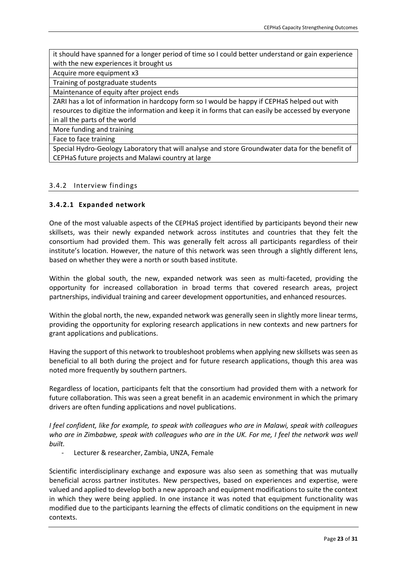it should have spanned for a longer period of time so I could better understand or gain experience with the new experiences it brought us

Acquire more equipment x3

Training of postgraduate students

Maintenance of equity after project ends

ZARI has a lot of information in hardcopy form so I would be happy if CEPHaS helped out with resources to digitize the information and keep it in forms that can easily be accessed by everyone in all the parts of the world

More funding and training

Face to face training

Special Hydro-Geology Laboratory that will analyse and store Groundwater data for the benefit of CEPHaS future projects and Malawi country at large

## <span id="page-22-0"></span>3.4.2 Interview findings

## <span id="page-22-1"></span>**3.4.2.1 Expanded network**

One of the most valuable aspects of the CEPHaS project identified by participants beyond their new skillsets, was their newly expanded network across institutes and countries that they felt the consortium had provided them. This was generally felt across all participants regardless of their institute's location. However, the nature of this network was seen through a slightly different lens, based on whether they were a north or south based institute.

Within the global south, the new, expanded network was seen as multi-faceted, providing the opportunity for increased collaboration in broad terms that covered research areas, project partnerships, individual training and career development opportunities, and enhanced resources.

Within the global north, the new, expanded network was generally seen in slightly more linear terms, providing the opportunity for exploring research applications in new contexts and new partners for grant applications and publications.

Having the support of this network to troubleshoot problems when applying new skillsets was seen as beneficial to all both during the project and for future research applications, though this area was noted more frequently by southern partners.

Regardless of location, participants felt that the consortium had provided them with a network for future collaboration. This was seen a great benefit in an academic environment in which the primary drivers are often funding applications and novel publications.

*I feel confident, like for example, to speak with colleagues who are in Malawi, speak with colleagues who are in Zimbabwe, speak with colleagues who are in the UK. For me, I feel the network was well built.*

*-* Lecturer & researcher, Zambia, UNZA, Female

Scientific interdisciplinary exchange and exposure was also seen as something that was mutually beneficial across partner institutes. New perspectives, based on experiences and expertise, were valued and applied to develop both a new approach and equipment modifications to suite the context in which they were being applied. In one instance it was noted that equipment functionality was modified due to the participants learning the effects of climatic conditions on the equipment in new contexts.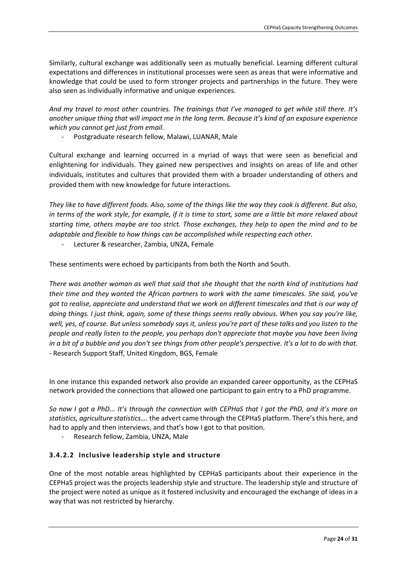Similarly, cultural exchange was additionally seen as mutually beneficial. Learning different cultural expectations and differences in institutional processes were seen as areas that were informative and knowledge that could be used to form stronger projects and partnerships in the future. They were also seen as individually informative and unique experiences.

*And my travel to most other countries. The trainings that I've managed to get while still there. It's another unique thing that will impact me in the long term. Because it's kind of an exposure experience which you cannot get just from email.*

*-* Postgraduate research fellow, Malawi, LUANAR, Male

Cultural exchange and learning occurred in a myriad of ways that were seen as beneficial and enlightening for individuals. They gained new perspectives and insights on areas of life and other individuals, institutes and cultures that provided them with a broader understanding of others and provided them with new knowledge for future interactions.

*They like to have different foods. Also, some of the things like the way they cook is different. But also, in terms of the work style, for example, if it is time to start, some are a little bit more relaxed about starting time, others maybe are too strict. Those exchanges, they help to open the mind and to be adaptable and flexible to how things can be accomplished while respecting each other.*

*-* Lecturer & researcher, Zambia, UNZA, Female

These sentiments were echoed by participants from both the North and South.

*There was another woman as well that said that she thought that the north kind of institutions had their time and they wanted the African partners to work with the same timescales. She said, you've got to realise, appreciate and understand that we work on different timescales and that is our way of doing things. I just think, again, some of these things seems really obvious. When you say you're like, well, yes, of course. But unless somebody says it, unless you're part of these talks and you listen to the people and really listen to the people, you perhaps don't appreciate that maybe you have been living in a bit of a bubble and you don't see things from other people's perspective. It's a lot to do with that. -* Research Support Staff, United Kingdom, BGS, Female

In one instance this expanded network also provide an expanded career opportunity, as the CEPHaS network provided the connections that allowed one participant to gain entry to a PhD programme.

*So now I got a PhD... It's through the connection with CEPHaS that I got the PhD, and it's more on statistics, agriculture statistics….* the advert came through the CEPHaS platform. There's this here, and had to apply and then interviews, and that's how I got to that position.

*-* Research fellow, Zambia, UNZA, Male

# <span id="page-23-0"></span>**3.4.2.2 Inclusive leadership style and structure**

One of the most notable areas highlighted by CEPHaS participants about their experience in the CEPHaS project was the projects leadership style and structure. The leadership style and structure of the project were noted as unique as it fostered inclusivity and encouraged the exchange of ideas in a way that was not restricted by hierarchy.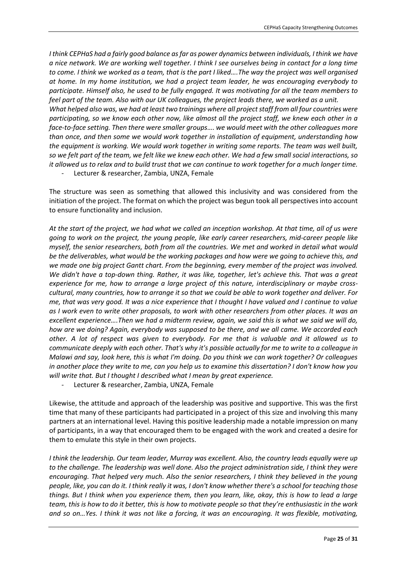*I think CEPHaS had a fairly good balance as far as power dynamics between individuals, I think we have a nice network. We are working well together. I think I see ourselves being in contact for a long time to come. I think we worked as a team, that is the part I liked….The way the project was well organised at home. In my home institution, we had a project team leader, he was encouraging everybody to participate. Himself also, he used to be fully engaged. It was motivating for all the team members to feel part of the team. Also with our UK colleagues, the project leads there, we worked as a unit. What helped also was, we had at least two trainings where all project staff from all four countries were participating, so we know each other now, like almost all the project staff, we knew each other in a face-to-face setting. Then there were smaller groups…. we would meet with the other colleagues more than once, and then some we would work together in installation of equipment, understanding how the equipment is working. We would work together in writing some reports. The team was well built, so we felt part of the team, we felt like we knew each other. We had a few small social interactions, so it allowed us to relax and to build trust that we can continue to work together for a much longer time.* 

*-* Lecturer & researcher, Zambia, UNZA, Female

The structure was seen as something that allowed this inclusivity and was considered from the initiation of the project. The format on which the project was begun took all perspectives into account to ensure functionality and inclusion.

*At the start of the project, we had what we called an inception workshop. At that time, all of us were going to work on the project, the young people, like early career researchers, mid-career people like myself, the senior researchers, both from all the countries. We met and worked in detail what would be the deliverables, what would be the working packages and how were we going to achieve this, and we made one big project Gantt chart. From the beginning, every member of the project was involved. We didn't have a top-down thing. Rather, it was like, together, let's achieve this. That was a great experience for me, how to arrange a large project of this nature, interdisciplinary or maybe crosscultural, many countries, how to arrange it so that we could be able to work together and deliver. For me, that was very good. It was a nice experience that I thought I have valued and I continue to value as I work even to write other proposals, to work with other researchers from other places. It was an excellent experience….Then we had a midterm review, again, we said this is what we said we will do, how are we doing? Again, everybody was supposed to be there, and we all came. We accorded each other. A lot of respect was given to everybody. For me that is valuable and it allowed us to communicate deeply with each other. That's why it's possible actually for me to write to a colleague in Malawi and say, look here, this is what I'm doing. Do you think we can work together? Or colleagues in another place they write to me, can you help us to examine this dissertation? I don't know how you will write that. But I thought I described what I mean by great experience.*

*-* Lecturer & researcher, Zambia, UNZA, Female

Likewise, the attitude and approach of the leadership was positive and supportive. This was the first time that many of these participants had participated in a project of this size and involving this many partners at an international level. Having this positive leadership made a notable impression on many of participants, in a way that encouraged them to be engaged with the work and created a desire for them to emulate this style in their own projects.

*I think the leadership. Our team leader, Murray was excellent. Also, the country leads equally were up to the challenge. The leadership was well done. Also the project administration side, I think they were encouraging. That helped very much. Also the senior researchers, I think they believed in the young people, like, you can do it. I think really it was, I don't know whether there's a school for teaching those things. But I think when you experience them, then you learn, like, okay, this is how to lead a large team, this is how to do it better, this is how to motivate people so that they're enthusiastic in the work and so on…Yes. I think it was not like a forcing, it was an encouraging. It was flexible, motivating,*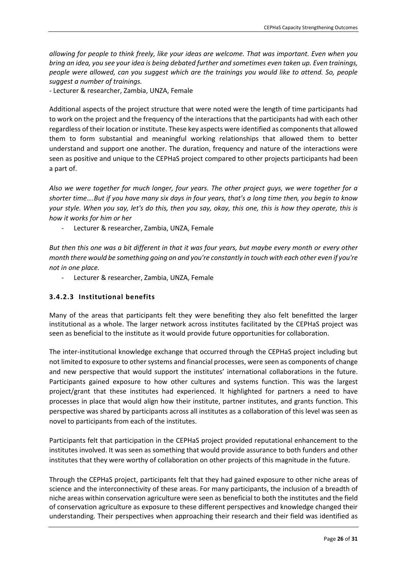*allowing for people to think freely, like your ideas are welcome. That was important. Even when you bring an idea, you see your idea is being debated further and sometimes even taken up. Even trainings, people were allowed, can you suggest which are the trainings you would like to attend. So, people suggest a number of trainings.*

*-* Lecturer & researcher, Zambia, UNZA, Female

Additional aspects of the project structure that were noted were the length of time participants had to work on the project and the frequency of the interactions that the participants had with each other regardless of their location or institute. These key aspects were identified as components that allowed them to form substantial and meaningful working relationships that allowed them to better understand and support one another. The duration, frequency and nature of the interactions were seen as positive and unique to the CEPHaS project compared to other projects participants had been a part of.

*Also we were together for much longer, four years. The other project guys, we were together for a shorter time….But if you have many six days in four years, that's a long time then, you begin to know your style. When you say, let's do this, then you say, okay, this one, this is how they operate, this is how it works for him or her*

*-* Lecturer & researcher, Zambia, UNZA, Female

*But then this one was a bit different in that it was four years, but maybe every month or every other month there would be something going on and you're constantly in touch with each other even if you're not in one place.*

*-* Lecturer & researcher, Zambia, UNZA, Female

# <span id="page-25-0"></span>**3.4.2.3 Institutional benefits**

Many of the areas that participants felt they were benefiting they also felt benefitted the larger institutional as a whole. The larger network across institutes facilitated by the CEPHaS project was seen as beneficial to the institute as it would provide future opportunities for collaboration.

The inter-institutional knowledge exchange that occurred through the CEPHaS project including but not limited to exposure to other systems and financial processes, were seen as components of change and new perspective that would support the institutes' international collaborations in the future. Participants gained exposure to how other cultures and systems function. This was the largest project/grant that these institutes had experienced. It highlighted for partners a need to have processes in place that would align how their institute, partner institutes, and grants function. This perspective was shared by participants across all institutes as a collaboration of this level was seen as novel to participants from each of the institutes.

Participants felt that participation in the CEPHaS project provided reputational enhancement to the institutes involved. It was seen as something that would provide assurance to both funders and other institutes that they were worthy of collaboration on other projects of this magnitude in the future.

Through the CEPHaS project, participants felt that they had gained exposure to other niche areas of science and the interconnectivity of these areas. For many participants, the inclusion of a breadth of niche areas within conservation agriculture were seen as beneficial to both the institutes and the field of conservation agriculture as exposure to these different perspectives and knowledge changed their understanding. Their perspectives when approaching their research and their field was identified as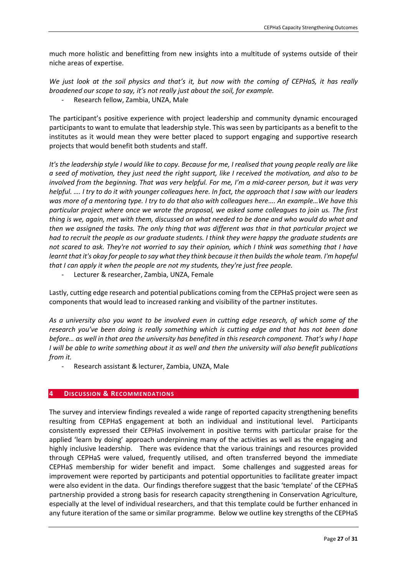much more holistic and benefitting from new insights into a multitude of systems outside of their niche areas of expertise.

*We just look at the soil physics and that's it, but now with the coming of CEPHaS, it has really broadened our scope to say, it's not really just about the soil, for example.*

*-* Research fellow, Zambia, UNZA, Male

The participant's positive experience with project leadership and community dynamic encouraged participants to want to emulate that leadership style. This was seen by participants as a benefit to the institutes as it would mean they were better placed to support engaging and supportive research projects that would benefit both students and staff.

*It's the leadership style I would like to copy. Because for me, I realised that young people really are like a seed of motivation, they just need the right support, like I received the motivation, and also to be involved from the beginning. That was very helpful. For me, I'm a mid-career person, but it was very helpful. …. I try to do it with younger colleagues here. In fact, the approach that I saw with our leaders was more of a mentoring type. I try to do that also with colleagues here…. An example…We have this particular project where once we wrote the proposal, we asked some colleagues to join us. The first thing is we, again, met with them, discussed on what needed to be done and who would do what and then we assigned the tasks. The only thing that was different was that in that particular project we had to recruit the people as our graduate students. I think they were happy the graduate students are not scared to ask. They're not worried to say their opinion, which I think was something that I have learnt that it's okay for people to say what they think because it then builds the whole team. I'm hopeful that I can apply it when the people are not my students, they're just free people.*

*-* Lecturer & researcher, Zambia, UNZA, Female

Lastly, cutting edge research and potential publications coming from the CEPHaS project were seen as components that would lead to increased ranking and visibility of the partner institutes.

*As a university also you want to be involved even in cutting edge research, of which some of the research you've been doing is really something which is cutting edge and that has not been done before… as well in that area the university has benefited in this research component. That's why I hope I will be able to write something about it as well and then the university will also benefit publications from it.*

*-* Research assistant & lecturer, Zambia, UNZA, Male

## <span id="page-26-0"></span>**4 DISCUSSION & RECOMMENDATIONS**

The survey and interview findings revealed a wide range of reported capacity strengthening benefits resulting from CEPHaS engagement at both an individual and institutional level. Participants consistently expressed their CEPHaS involvement in positive terms with particular praise for the applied 'learn by doing' approach underpinning many of the activities as well as the engaging and highly inclusive leadership. There was evidence that the various trainings and resources provided through CEPHaS were valued, frequently utilised, and often transferred beyond the immediate CEPHaS membership for wider benefit and impact. Some challenges and suggested areas for improvement were reported by participants and potential opportunities to facilitate greater impact were also evident in the data. Our findings therefore suggest that the basic 'template' of the CEPHaS partnership provided a strong basis for research capacity strengthening in Conservation Agriculture, especially at the level of individual researchers, and that this template could be further enhanced in any future iteration of the same or similar programme. Below we outline key strengths of the CEPHaS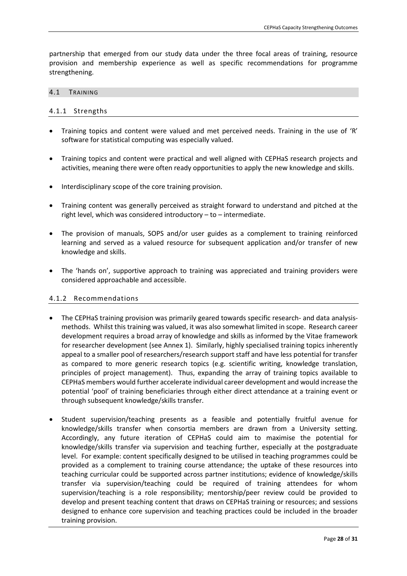partnership that emerged from our study data under the three focal areas of training, resource provision and membership experience as well as specific recommendations for programme strengthening.

#### <span id="page-27-0"></span>4.1 TRAINING

#### <span id="page-27-1"></span>4.1.1 Strengths

- Training topics and content were valued and met perceived needs. Training in the use of 'R' software for statistical computing was especially valued.
- Training topics and content were practical and well aligned with CEPHaS research projects and activities, meaning there were often ready opportunities to apply the new knowledge and skills.
- Interdisciplinary scope of the core training provision.
- Training content was generally perceived as straight forward to understand and pitched at the right level, which was considered introductory – to – intermediate.
- The provision of manuals, SOPS and/or user guides as a complement to training reinforced learning and served as a valued resource for subsequent application and/or transfer of new knowledge and skills.
- The 'hands on', supportive approach to training was appreciated and training providers were considered approachable and accessible.

## <span id="page-27-2"></span>4.1.2 Recommendations

- The CEPHaS training provision was primarily geared towards specific research- and data analysismethods. Whilst this training was valued, it was also somewhat limited in scope. Research career development requires a broad array of knowledge and skills as informed by the Vitae framework for researcher development (see Annex 1). Similarly, highly specialised training topics inherently appeal to a smaller pool of researchers/research support staff and have less potential for transfer as compared to more generic research topics (e.g. scientific writing, knowledge translation, principles of project management). Thus, expanding the array of training topics available to CEPHaS members would further accelerate individual career development and would increase the potential 'pool' of training beneficiaries through either direct attendance at a training event or through subsequent knowledge/skills transfer.
- Student supervision/teaching presents as a feasible and potentially fruitful avenue for knowledge/skills transfer when consortia members are drawn from a University setting. Accordingly, any future iteration of CEPHaS could aim to maximise the potential for knowledge/skills transfer via supervision and teaching further, especially at the postgraduate level. For example: content specifically designed to be utilised in teaching programmes could be provided as a complement to training course attendance; the uptake of these resources into teaching curricular could be supported across partner institutions; evidence of knowledge/skills transfer via supervision/teaching could be required of training attendees for whom supervision/teaching is a role responsibility; mentorship/peer review could be provided to develop and present teaching content that draws on CEPHaS training or resources; and sessions designed to enhance core supervision and teaching practices could be included in the broader training provision.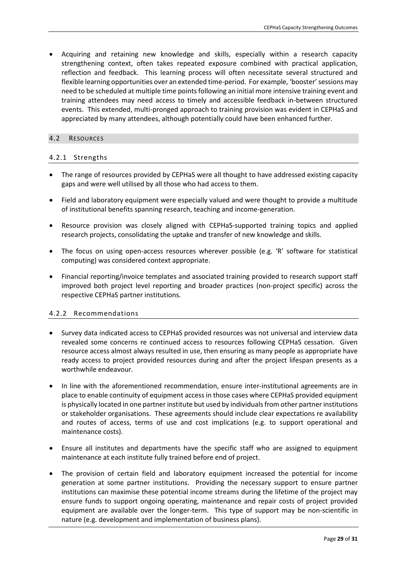• Acquiring and retaining new knowledge and skills, especially within a research capacity strengthening context, often takes repeated exposure combined with practical application, reflection and feedback. This learning process will often necessitate several structured and flexible learning opportunities over an extended time-period. For example, 'booster' sessions may need to be scheduled at multiple time points following an initial more intensive training event and training attendees may need access to timely and accessible feedback in-between structured events. This extended, multi-pronged approach to training provision was evident in CEPHaS and appreciated by many attendees, although potentially could have been enhanced further.

#### <span id="page-28-0"></span>4.2 RESOURCES

## <span id="page-28-1"></span>4.2.1 Strengths

- The range of resources provided by CEPHaS were all thought to have addressed existing capacity gaps and were well utilised by all those who had access to them.
- Field and laboratory equipment were especially valued and were thought to provide a multitude of institutional benefits spanning research, teaching and income-generation.
- Resource provision was closely aligned with CEPHaS-supported training topics and applied research projects, consolidating the uptake and transfer of new knowledge and skills.
- The focus on using open-access resources wherever possible (e.g. 'R' software for statistical computing) was considered context appropriate.
- Financial reporting/invoice templates and associated training provided to research support staff improved both project level reporting and broader practices (non-project specific) across the respective CEPHaS partner institutions.

## <span id="page-28-2"></span>4.2.2 Recommendations

- Survey data indicated access to CEPHaS provided resources was not universal and interview data revealed some concerns re continued access to resources following CEPHaS cessation. Given resource access almost always resulted in use, then ensuring as many people as appropriate have ready access to project provided resources during and after the project lifespan presents as a worthwhile endeavour.
- In line with the aforementioned recommendation, ensure inter-institutional agreements are in place to enable continuity of equipment access in those cases where CEPHaS provided equipment is physically located in one partner institute but used by individuals from other partner institutions or stakeholder organisations. These agreements should include clear expectations re availability and routes of access, terms of use and cost implications (e.g. to support operational and maintenance costs).
- Ensure all institutes and departments have the specific staff who are assigned to equipment maintenance at each institute fully trained before end of project.
- The provision of certain field and laboratory equipment increased the potential for income generation at some partner institutions. Providing the necessary support to ensure partner institutions can maximise these potential income streams during the lifetime of the project may ensure funds to support ongoing operating, maintenance and repair costs of project provided equipment are available over the longer-term. This type of support may be non-scientific in nature (e.g. development and implementation of business plans).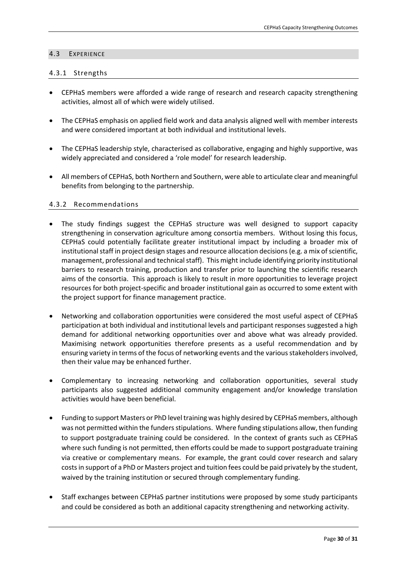#### <span id="page-29-0"></span>4.3 EXPERIENCE

## <span id="page-29-1"></span>4.3.1 Strengths

- CEPHaS members were afforded a wide range of research and research capacity strengthening activities, almost all of which were widely utilised.
- The CEPHaS emphasis on applied field work and data analysis aligned well with member interests and were considered important at both individual and institutional levels.
- The CEPHaS leadership style, characterised as collaborative, engaging and highly supportive, was widely appreciated and considered a 'role model' for research leadership.
- All members of CEPHaS, both Northern and Southern, were able to articulate clear and meaningful benefits from belonging to the partnership.

#### <span id="page-29-2"></span>4.3.2 Recommendations

- The study findings suggest the CEPHaS structure was well designed to support capacity strengthening in conservation agriculture among consortia members. Without losing this focus, CEPHaS could potentially facilitate greater institutional impact by including a broader mix of institutional staff in project design stages and resource allocation decisions(e.g. a mix of scientific, management, professional and technical staff). This might include identifying priority institutional barriers to research training, production and transfer prior to launching the scientific research aims of the consortia. This approach is likely to result in more opportunities to leverage project resources for both project-specific and broader institutional gain as occurred to some extent with the project support for finance management practice.
- Networking and collaboration opportunities were considered the most useful aspect of CEPHaS participation at both individual and institutional levels and participant responses suggested a high demand for additional networking opportunities over and above what was already provided. Maximising network opportunities therefore presents as a useful recommendation and by ensuring variety in terms of the focus of networking events and the various stakeholders involved, then their value may be enhanced further.
- Complementary to increasing networking and collaboration opportunities, several study participants also suggested additional community engagement and/or knowledge translation activities would have been beneficial.
- Funding to support Masters or PhD level training was highly desired by CEPHaS members, although was not permitted within the funders stipulations. Where funding stipulations allow, then funding to support postgraduate training could be considered. In the context of grants such as CEPHaS where such funding is not permitted, then efforts could be made to support postgraduate training via creative or complementary means. For example, the grant could cover research and salary costs in support of a PhD or Masters project and tuition fees could be paid privately by the student, waived by the training institution or secured through complementary funding.
- Staff exchanges between CEPHaS partner institutions were proposed by some study participants and could be considered as both an additional capacity strengthening and networking activity.